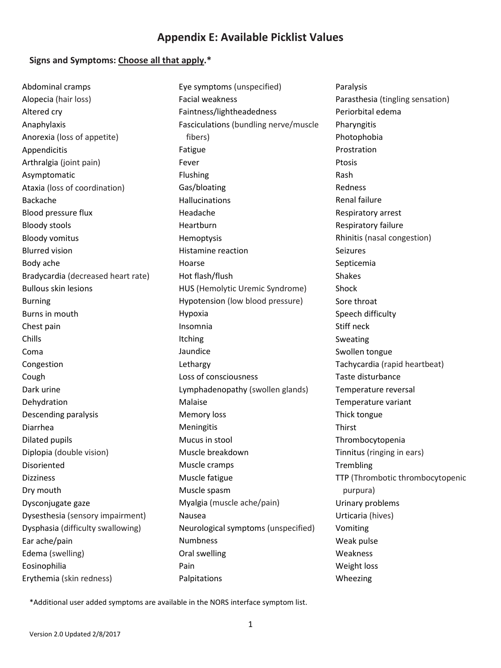# **Appendix E: Available Picklist Values**

#### **Signs and Symptoms: Choose all that apply.\***

Abdominal cramps Alopecia (hair loss) Altered cry Anaphylaxis Anorexia (loss of appetite) Appendicitis Arthralgia (joint pain) Asymptomatic Ataxia (loss of coordination) Backache Blood pressure flux Bloody stools Bloody vomitus Blurred vision Body ache Bradycardia (decreased heart rate) Bullous skin lesions Burning Burns in mouth Chest pain Chills Coma Congestion Cough Dark urine Dehydration Descending paralysis Diarrhea Dilated pupils Diplopia (double vision) Disoriented Dizziness Dry mouth Dysconjugate gaze Dysesthesia (sensory impairment) Dysphasia (difficulty swallowing) Ear ache/pain Edema (swelling) Eosinophilia Erythemia (skin redness)

Eye symptoms (unspecified) Facial weakness Faintness/lightheadedness Fasciculations (bundling nerve/muscle fibers) Fatigue Fever Flushing Gas/bloating Hallucinations Headache Heartburn Hemoptysis Histamine reaction Hoarse Hot flash/flush HUS (Hemolytic Uremic Syndrome) Hypotension (low blood pressure) Hypoxia Insomnia Itching Jaundice Lethargy Loss of consciousness Lymphadenopathy (swollen glands) Malaise Memory loss **Meningitis** Mucus in stool Muscle breakdown Muscle cramps Muscle fatigue Muscle spasm Myalgia (muscle ache/pain) Nausea Neurological symptoms (unspecified) Numbness Oral swelling Pain Palpitations

Paralysis Parasthesia (tingling sensation) Periorbital edema Pharyngitis Photophobia Prostration Ptosis Rash Redness Renal failure Respiratory arrest Respiratory failure Rhinitis (nasal congestion) Seizures Septicemia Shakes Shock Sore throat Speech difficulty Stiff neck Sweating Swollen tongue Tachycardia (rapid heartbeat) Taste disturbance Temperature reversal Temperature variant Thick tongue Thirst Thrombocytopenia Tinnitus (ringing in ears) **Trembling** TTP (Thrombotic thrombocytopenic purpura) Urinary problems Urticaria (hives) Vomiting Weak pulse Weakness Weight loss Wheezing

\*Additional user added symptoms are available in the NORS interface symptom list.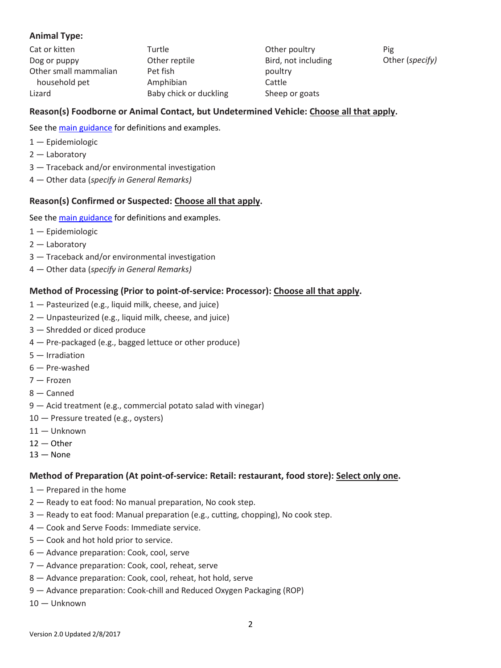# **Animal Type:**

| Cat or kitten         | Turtle                 | Other poultry       | Pig             |
|-----------------------|------------------------|---------------------|-----------------|
| Dog or puppy          | Other reptile          | Bird, not including | Other (specify) |
| Other small mammalian | Pet fish               | poultry             |                 |
| household pet         | Amphibian              | Cattle              |                 |
| Lizard                | Baby chick or duckling | Sheep or goats      |                 |

# **Reason(s) Foodborne or Animal Contact, but Undetermined Vehicle: Choose all that apply.**

See the [main guidance](https://www.cdc.gov/nors/downloads/guidance.pdf) for definitions and examples.

- 1 Epidemiologic
- 2 Laboratory
- 3 Traceback and/or environmental investigation
- 4 Other data (*specify in General Remarks)*

## **Reason(s) Confirmed or Suspected: Choose all that apply.**

See the [main guidance](https://www.cdc.gov/nors/downloads/guidance.pdf) for definitions and examples.

- 1 Epidemiologic
- 2 Laboratory
- 3 Traceback and/or environmental investigation
- 4 Other data (*specify in General Remarks)*

## **Method of Processing (Prior to point-of-service: Processor): Choose all that apply.**

- 1 Pasteurized (e.g., liquid milk, cheese, and juice)
- 2 Unpasteurized (e.g., liquid milk, cheese, and juice)
- 3 Shredded or diced produce
- 4 Pre-packaged (e.g., bagged lettuce or other produce)
- 5 Irradiation
- 6 Pre-washed
- 7 Frozen
- 8 Canned
- 9 Acid treatment (e.g., commercial potato salad with vinegar)
- 10 Pressure treated (e.g., oysters)
- 11 Unknown
- $12 -$ Other
- $13 -$  None

#### **Method of Preparation (At point-of-service: Retail: restaurant, food store): Select only one.**

- 1 Prepared in the home
- 2 Ready to eat food: No manual preparation, No cook step.
- 3 Ready to eat food: Manual preparation (e.g., cutting, chopping), No cook step.
- 4 Cook and Serve Foods: Immediate service.
- 5 Cook and hot hold prior to service.
- 6 Advance preparation: Cook, cool, serve
- 7 Advance preparation: Cook, cool, reheat, serve
- 8 Advance preparation: Cook, cool, reheat, hot hold, serve
- 9 Advance preparation: Cook-chill and Reduced Oxygen Packaging (ROP)
- 10 Unknown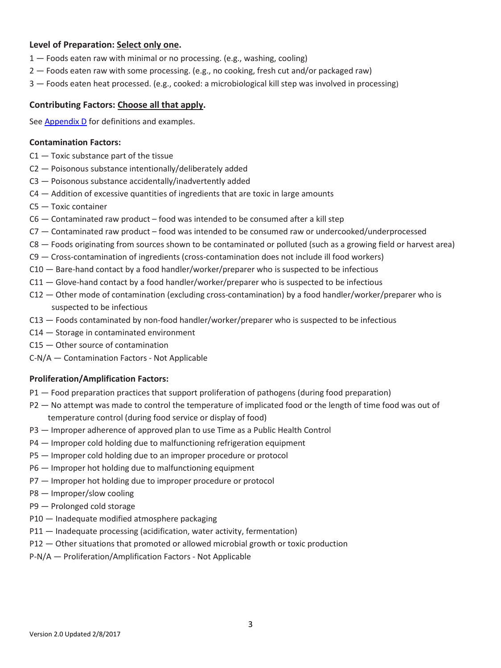## **Level of Preparation: Select only one.**

- 1 Foods eaten raw with minimal or no processing. (e.g., washing, cooling)
- 2 Foods eaten raw with some processing. (e.g., no cooking, fresh cut and/or packaged raw)
- 3 Foods eaten heat processed. (e.g., cooked: a microbiological kill step was involved in processing)

#### **Contributing Factors: Choose all that apply.**

Se[e Appendix D](https://www.cdc.gov/nors/downloads/appendix-d.pdf) for definitions and examples.

#### **Contamination Factors:**

- C1 Toxic substance part of the tissue
- C2 Poisonous substance intentionally/deliberately added
- C3 Poisonous substance accidentally/inadvertently added
- C4 Addition of excessive quantities of ingredients that are toxic in large amounts
- C5 Toxic container
- C6 Contaminated raw product food was intended to be consumed after a kill step
- C7 Contaminated raw product food was intended to be consumed raw or undercooked/underprocessed
- C8 Foods originating from sources shown to be contaminated or polluted (such as a growing field or harvest area)
- C9 Cross-contamination of ingredients (cross-contamination does not include ill food workers)
- C10 Bare-hand contact by a food handler/worker/preparer who is suspected to be infectious
- $C11 G$ love-hand contact by a food handler/worker/preparer who is suspected to be infectious
- C12 Other mode of contamination (excluding cross-contamination) by a food handler/worker/preparer who is suspected to be infectious
- C13 Foods contaminated by non-food handler/worker/preparer who is suspected to be infectious
- C14 Storage in contaminated environment
- C15 Other source of contamination
- C-N/A Contamination Factors Not Applicable

#### **Proliferation/Amplification Factors:**

- P1 Food preparation practices that support proliferation of pathogens (during food preparation)
- P2 No attempt was made to control the temperature of implicated food or the length of time food was out of temperature control (during food service or display of food)
- P3 Improper adherence of approved plan to use Time as a Public Health Control
- P4 Improper cold holding due to malfunctioning refrigeration equipment
- P5 Improper cold holding due to an improper procedure or protocol
- P6 Improper hot holding due to malfunctioning equipment
- P7 Improper hot holding due to improper procedure or protocol
- P8 Improper/slow cooling
- P9 Prolonged cold storage
- P10 Inadequate modified atmosphere packaging
- P11 Inadequate processing (acidification, water activity, fermentation)
- P12 Other situations that promoted or allowed microbial growth or toxic production
- P-N/A Proliferation/Amplification Factors Not Applicable